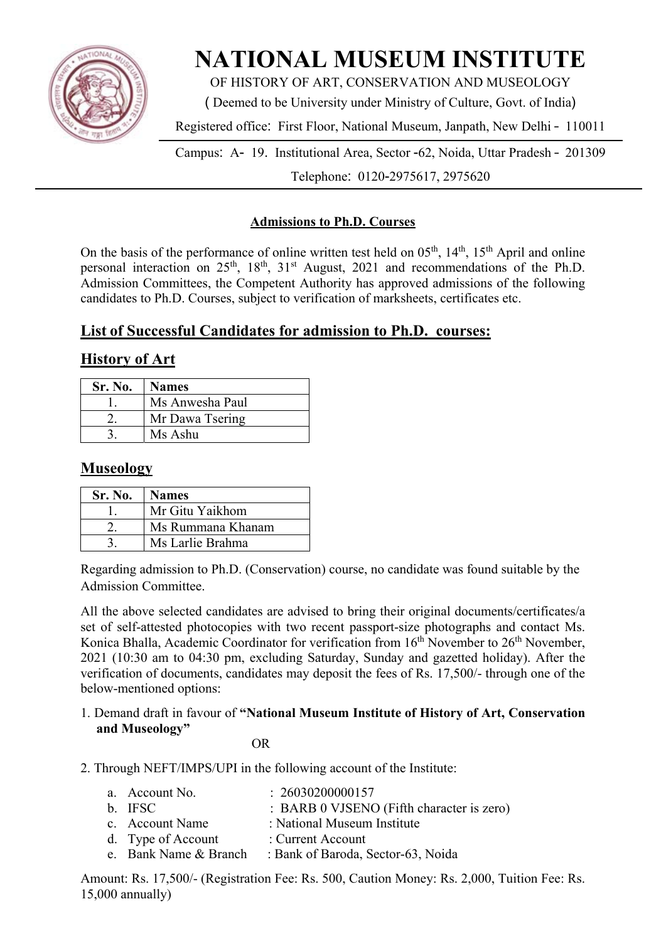

# **NATIONAL MUSEUM INSTITUTE**

OF HISTORY OF ART, CONSERVATION AND MUSEOLOGY

( Deemed to be University under Ministry of Culture, Govt. of India)

Registered office: First Floor, National Museum, Janpath, New Delhi – 110011

Campus: A- 19. Institutional Area, Sector -62, Noida, Uttar Pradesh – 201309 Telephone: 0120-2975617, 2975620

## **Admissions to Ph.D. Courses**

On the basis of the performance of online written test held on  $0.5<sup>th</sup>$ ,  $14<sup>th</sup>$ ,  $15<sup>th</sup>$  April and online personal interaction on  $25<sup>th</sup>$ ,  $18<sup>th</sup>$ ,  $31<sup>st</sup>$  August,  $2021$  and recommendations of the Ph.D. Admission Committees, the Competent Authority has approved admissions of the following candidates to Ph.D. Courses, subject to verification of marksheets, certificates etc.

## **List of Successful Candidates for admission to Ph.D. courses:**

## **History of Art**

| Sr. No. | <b>Names</b>    |  |
|---------|-----------------|--|
|         | Ms Anwesha Paul |  |
|         | Mr Dawa Tsering |  |
|         | Ms Ashu         |  |

## **Museology**

| Sr. No. | <b>Names</b>      |
|---------|-------------------|
|         | Mr Gitu Yaikhom   |
|         | Ms Rummana Khanam |
|         | Ms Larlie Brahma  |

Regarding admission to Ph.D. (Conservation) course, no candidate was found suitable by the Admission Committee.

All the above selected candidates are advised to bring their original documents/certificates/a set of self-attested photocopies with two recent passport-size photographs and contact Ms. Konica Bhalla, Academic Coordinator for verification from 16<sup>th</sup> November to 26<sup>th</sup> November, 2021 (10:30 am to 04:30 pm, excluding Saturday, Sunday and gazetted holiday). After the verification of documents, candidates may deposit the fees of Rs. 17,500/- through one of the below-mentioned options:

#### 1. Demand draft in favour of **"National Museum Institute of History of Art, Conservation and Museology"**

**OR** 

2. Through NEFT/IMPS/UPI in the following account of the Institute:

| a. Account No.        | : 26030200000157                          |
|-----------------------|-------------------------------------------|
| b. IFSC               | : BARB 0 VJSENO (Fifth character is zero) |
| c. Account Name       | : National Museum Institute               |
| d. Type of Account    | : Current Account                         |
| e. Bank Name & Branch | : Bank of Baroda, Sector-63, Noida        |

Amount: Rs. 17,500/- (Registration Fee: Rs. 500, Caution Money: Rs. 2,000, Tuition Fee: Rs. 15,000 annually)